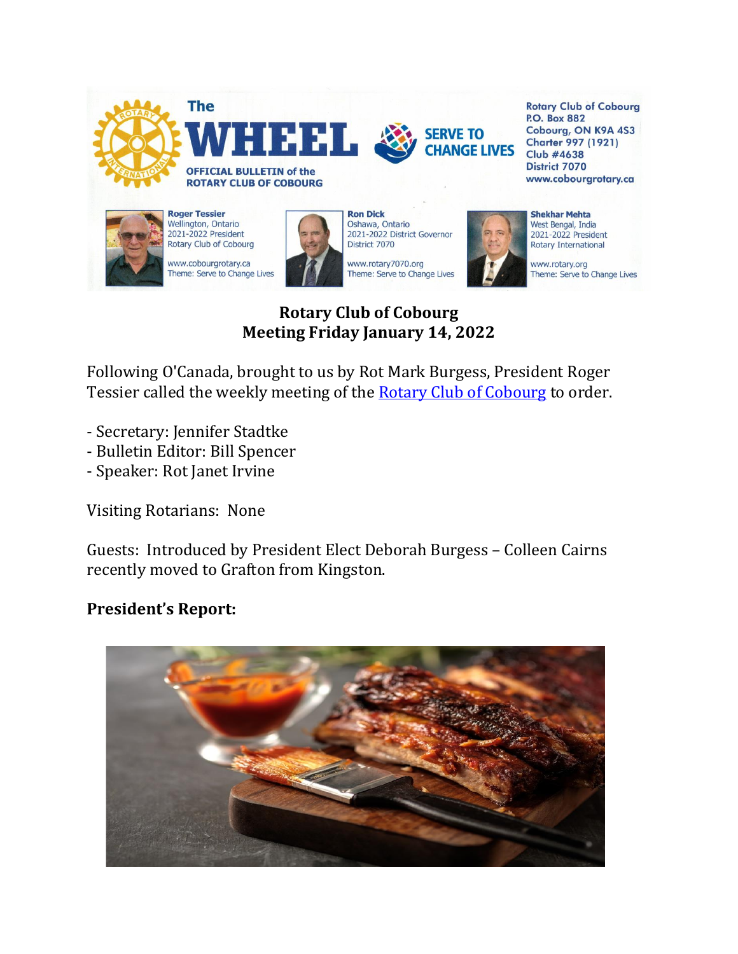

## **Rotary Club of Cobourg Meeting Friday January 14, 2022**

Following O'Canada, brought to us by Rot Mark Burgess, President Roger Tessier called the weekly meeting of the [Rotary Club of Cobourg](http://cobourgrotary.ca/) to order.

- Secretary: Jennifer Stadtke
- Bulletin Editor: Bill Spencer
- Speaker: Rot Janet Irvine

Visiting Rotarians: None

Guests: Introduced by President Elect Deborah Burgess – Colleen Cairns recently moved to Grafton from Kingston.

# **President's Report:**

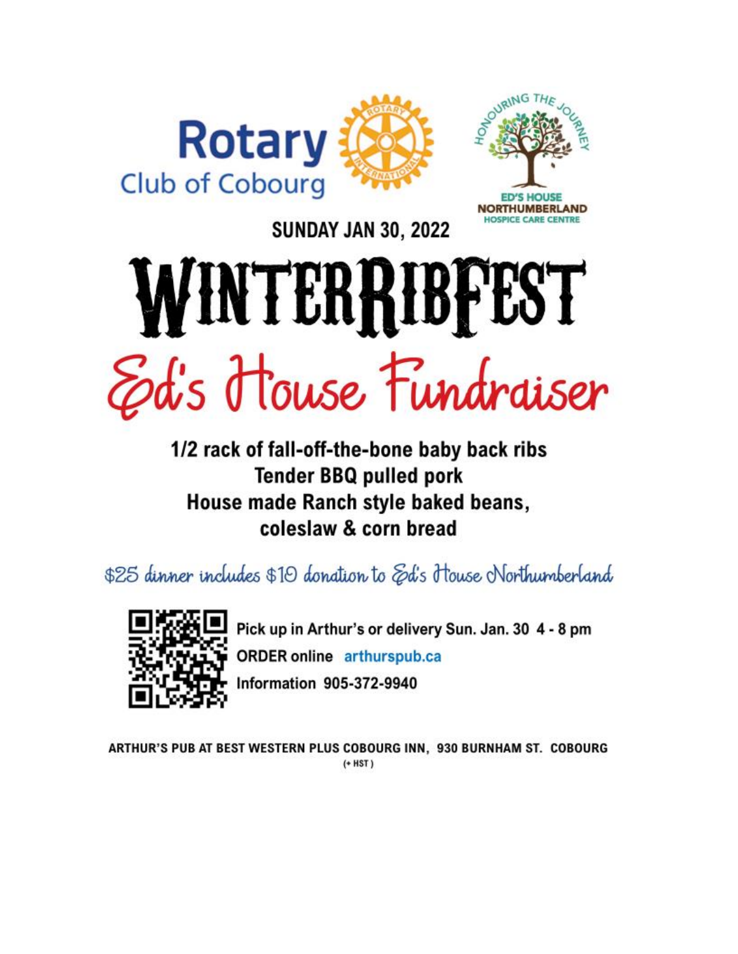



**SUNDAY JAN 30, 2022** 

# WINTERRIBFEST Ed's House Fundraiser

1/2 rack of fall-off-the-bone baby back ribs **Tender BBQ pulled pork** House made Ranch style baked beans, coleslaw & corn bread

\$25 dinner includes \$10 donation to Ed's House Northumberland



Pick up in Arthur's or delivery Sun. Jan. 30 4 - 8 pm **ORDER online** arthurspub.ca **Information 905-372-9940** 

ARTHUR'S PUB AT BEST WESTERN PLUS COBOURG INN, 930 BURNHAM ST. COBOURG  $(+$  HST)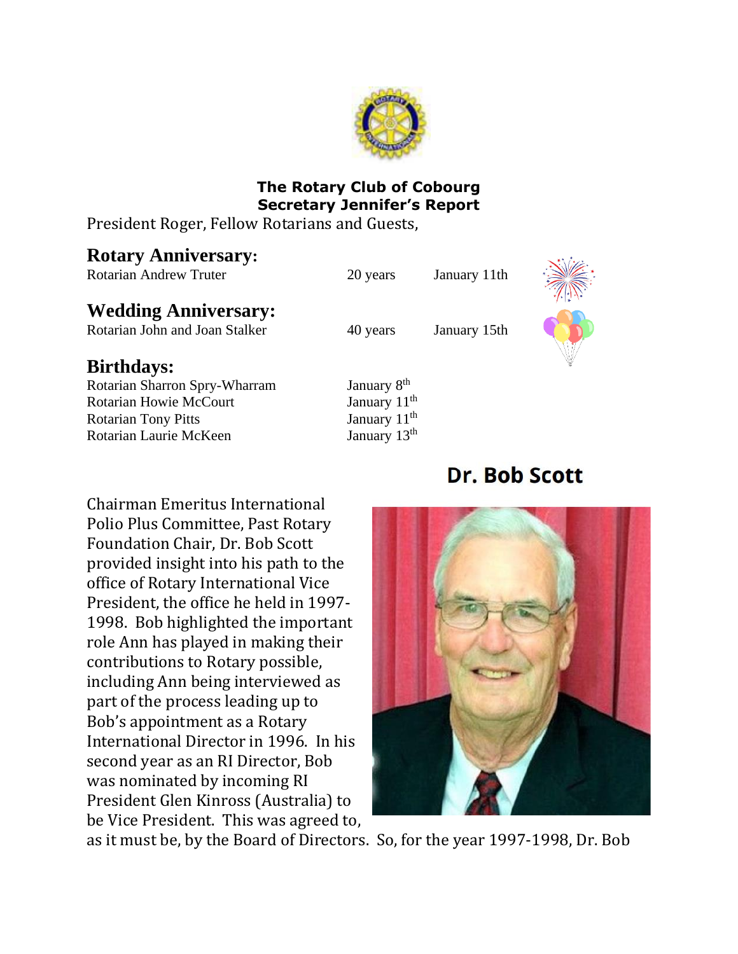

### **The Rotary Club of Cobourg Secretary Jennifer's Report**

President Roger, Fellow Rotarians and Guests,

# **Rotary Anniversary:**

Rotarian Andrew Truter 20 years January 11th

# **Wedding Anniversary:**

Rotarian John and Joan Stalker 40 years January 15th



# **Birthdays:**

Rotarian Sharron Spry-Wharram January 8<sup>th</sup> Rotarian Howie McCourt January 11<sup>th</sup> Rotarian Tony Pitts **January 11<sup>th</sup>** Rotarian Laurie McKeen January 13<sup>th</sup>

# Dr. Bob Scott





as it must be, by the Board of Directors. So, for the year 1997-1998, Dr. Bob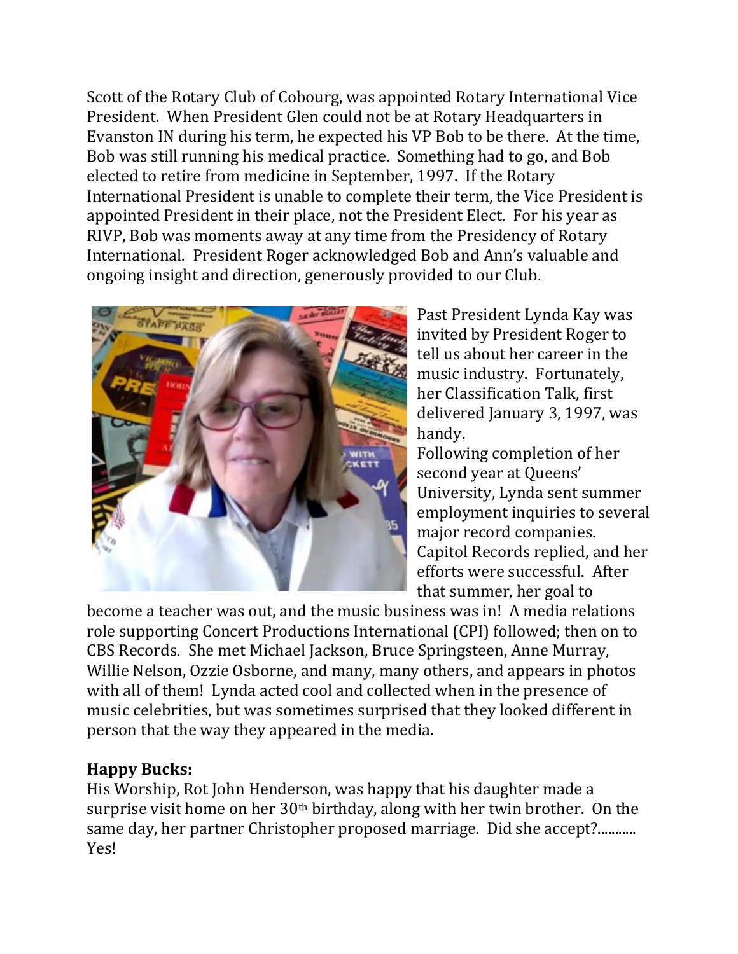Scott of the Rotary Club of Cobourg, was appointed Rotary International Vice President. When President Glen could not be at Rotary Headquarters in Evanston IN during his term, he expected his VP Bob to be there. At the time, Bob was still running his medical practice. Something had to go, and Bob elected to retire from medicine in September, 1997. If the Rotary International President is unable to complete their term, the Vice President is appointed President in their place, not the President Elect. For his year as RIVP, Bob was moments away at any time from the Presidency of Rotary International. President Roger acknowledged Bob and Ann's valuable and ongoing insight and direction, generously provided to our Club.



Past President Lynda Kay was invited by President Roger to tell us about her career in the music industry. Fortunately, her Classification Talk, first delivered January 3, 1997, was handy.

Following completion of her second year at Queens' University, Lynda sent summer employment inquiries to several major record companies. Capitol Records replied, and her efforts were successful. After that summer, her goal to

become a teacher was out, and the music business was in! A media relations role supporting Concert Productions International (CPI) followed; then on to CBS Records. She met Michael Jackson, Bruce Springsteen, Anne Murray, Willie Nelson, Ozzie Osborne, and many, many others, and appears in photos with all of them! Lynda acted cool and collected when in the presence of music celebrities, but was sometimes surprised that they looked different in person that the way they appeared in the media.

# **Happy Bucks:**

His Worship, Rot John Henderson, was happy that his daughter made a surprise visit home on her 30<sup>th</sup> birthday, along with her twin brother. On the same day, her partner Christopher proposed marriage. Did she accept?........... Yes!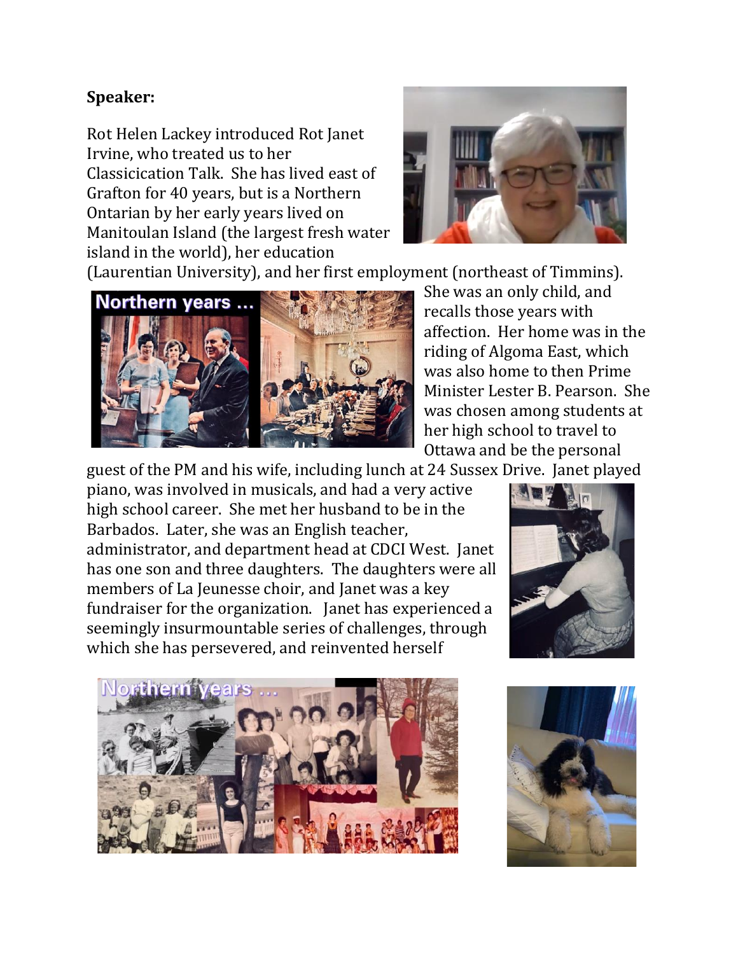# **Speaker:**

Rot Helen Lackey introduced Rot Janet Irvine, who treated us to her Classicication Talk. She has lived east of Grafton for 40 years, but is a Northern Ontarian by her early years lived on Manitoulan Island (the largest fresh water island in the world), her education



(Laurentian University), and her first employment (northeast of Timmins).



She was an only child, and recalls those years with affection. Her home was in the riding of Algoma East, which was also home to then Prime Minister Lester B. Pearson. She was chosen among students at her high school to travel to Ottawa and be the personal

guest of the PM and his wife, including lunch at 24 Sussex Drive. Janet played

piano, was involved in musicals, and had a very active high school career. She met her husband to be in the Barbados. Later, she was an English teacher, administrator, and department head at CDCI West. Janet has one son and three daughters. The daughters were all members of La Jeunesse choir, and Janet was a key fundraiser for the organization. Janet has experienced a seemingly insurmountable series of challenges, through which she has persevered, and reinvented herself





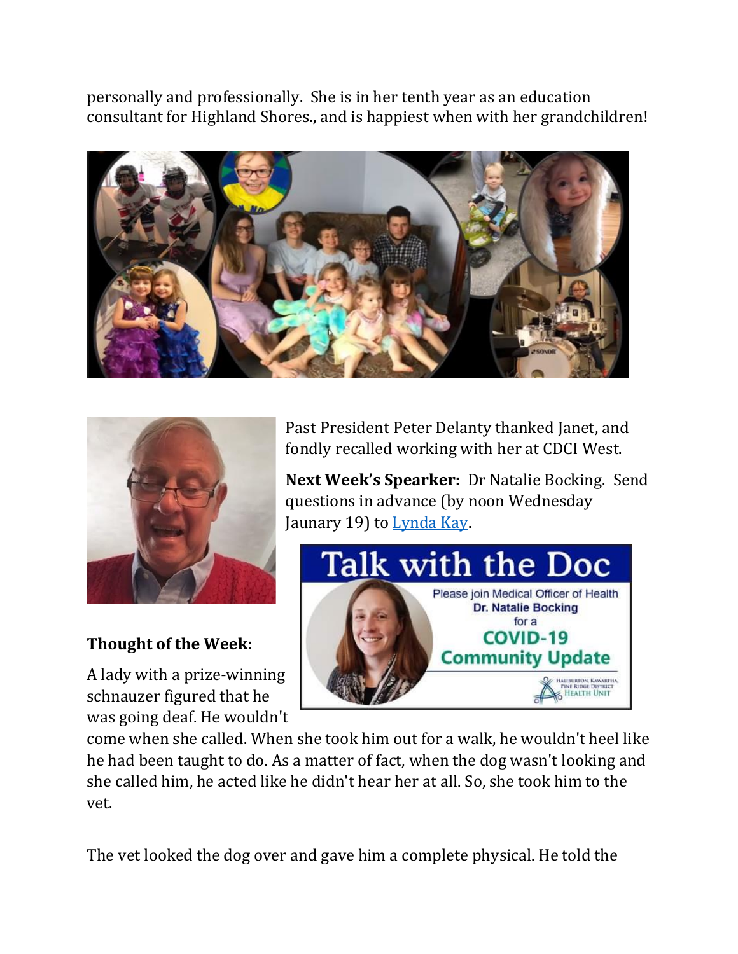personally and professionally. She is in her tenth year as an education consultant for Highland Shores., and is happiest when with her grandchildren!





# **Thought of the Week:**

A lady with a prize-winning schnauzer figured that he was going deaf. He wouldn't

Past President Peter Delanty thanked Janet, and fondly recalled working with her at CDCI West.

**Next Week's Spearker:** Dr Natalie Bocking. Send questions in advance (by noon Wednesday Jaunary 19) to [Lynda Kay.](mailto:lynda.s.kay@gmail.com)



come when she called. When she took him out for a walk, he wouldn't heel like he had been taught to do. As a matter of fact, when the dog wasn't looking and she called him, he acted like he didn't hear her at all. So, she took him to the vet.

The vet looked the dog over and gave him a complete physical. He told the